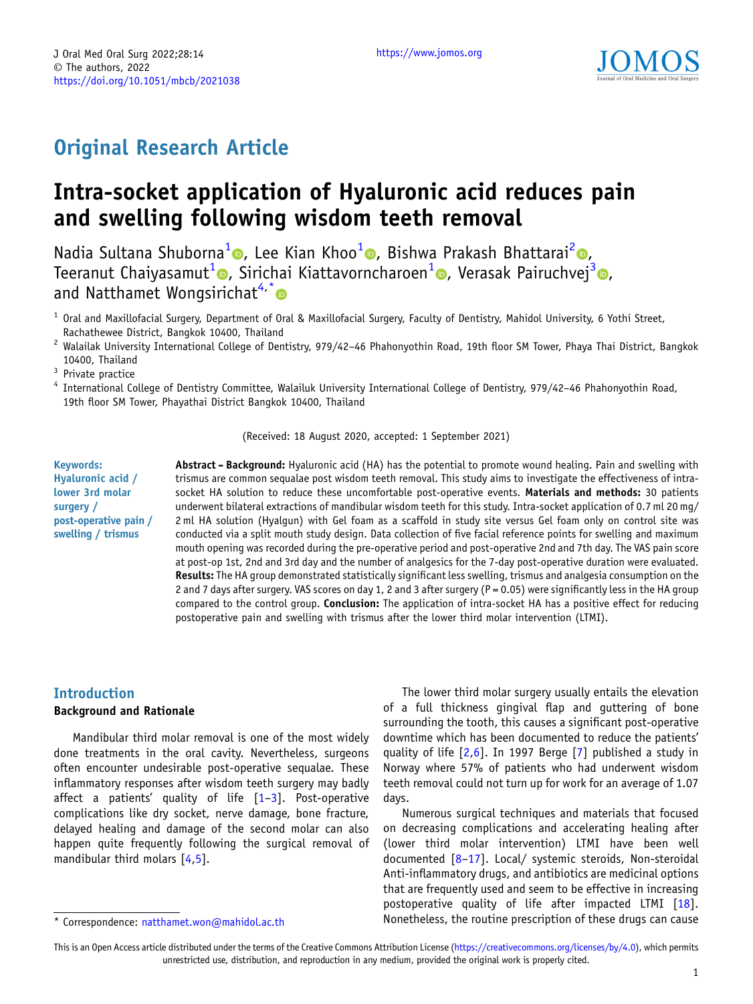

# Original Research Article

# Intra-socket application of Hyaluronic acid reduces pain and swelling following wisdom teeth removal

Nadia Sultana Shuborna<sup>[1](https://orcid.org/0000-0003-4135-1563)</sup> , Lee Kian Khoo<sup>1</sup> , Bishwa Prakash Bhattarai<sup>[2](https://orcid.org/0000-0003-3359-9032)</sup> , Teeranut Chaiyasamut<sup>[1](https://orcid.org/0000-0001-6766-9188)</sup> , Sirichai Kiattavorncharoen<sup>1</sup> , Verasak Pairuchvej<sup>[3](https://orcid.org/0000-0002-9566-2407)</sup> , and Natthamet Wongsirichat<sup>4,[\\*](https://orcid.org/0000-0003-3005-2680)</sup>

Rachathewee District, Bangkok 10400, Thailand<br><sup>2</sup> Walailak University International College of Dentistry, 979/42–46 Phahonyothin Road, 19th floor SM Tower, Phaya Thai District, Bangkok

10400, Thailand<br><sup>3</sup> Private practice<br><sup>4</sup> International College of Dentistry Committee, Walailuk University International College of Dentistry, 979/42–46 Phahonyothin Road, 19th floor SM Tower, Phayathai District Bangkok 10400, Thailand

(Received: 18 August 2020, accepted: 1 September 2021)

## Keywords: Hyaluronic acid / lower 3rd molar surgery / post-operative pain / swelling / trismus

Abstract - Background: Hyaluronic acid (HA) has the potential to promote wound healing. Pain and swelling with trismus are common sequalae post wisdom teeth removal. This study aims to investigate the effectiveness of intrasocket HA solution to reduce these uncomfortable post-operative events. Materials and methods: 30 patients underwent bilateral extractions of mandibular wisdom teeth for this study. Intra-socket application of 0.7 ml 20 mg/ 2 ml HA solution (Hyalgun) with Gel foam as a scaffold in study site versus Gel foam only on control site was conducted via a split mouth study design. Data collection of five facial reference points for swelling and maximum mouth opening was recorded during the pre-operative period and post-operative 2nd and 7th day. The VAS pain score at post-op 1st, 2nd and 3rd day and the number of analgesics for the 7-day post-operative duration were evaluated. Results: The HA group demonstrated statistically significant less swelling, trismus and analgesia consumption on the 2 and 7 days after surgery. VAS scores on day 1, 2 and 3 after surgery (P = 0.05) were significantly less in the HA group compared to the control group. Conclusion: The application of intra-socket HA has a positive effect for reducing postoperative pain and swelling with trismus after the lower third molar intervention (LTMI).

## Introduction

#### Background and Rationale

Mandibular third molar removal is one of the most widely done treatments in the oral cavity. Nevertheless, surgeons often encounter undesirable post-operative sequalae. These inflammatory responses after wisdom teeth surgery may badly affect a patients' quality of life  $[1-3]$  $[1-3]$  $[1-3]$  $[1-3]$ . Post-operative complications like dry socket, nerve damage, bone fracture, delayed healing and damage of the second molar can also happen quite frequently following the surgical removal of mandibular third molars [[4,5\]](#page-7-0).

Numerous surgical techniques and materials that focused on decreasing complications and accelerating healing after (lower third molar intervention) LTMI have been well documented [\[8](#page-7-0)–[17](#page-7-0)]. Local/ systemic steroids, Non-steroidal Anti-inflammatory drugs, and antibiotics are medicinal options that are frequently used and seem to be effective in increasing postoperative quality of life after impacted LTMI [\[18](#page-8-0)]. \* Correspondence: [natthamet.won@mahidol.ac.th](mailto:natthamet.won@mahidol.ac.th) Nonetheless, the routine prescription of these drugs can cause

 $1$  Oral and Maxillofacial Surgery, Department of Oral & Maxillofacial Surgery, Faculty of Dentistry, Mahidol University, 6 Yothi Street,

The lower third molar surgery usually entails the elevation of a full thickness gingival flap and guttering of bone surrounding the tooth, this causes a significant post-operative downtime which has been documented to reduce the patients' quality of life [[2,6\]](#page-7-0). In 1997 Berge [\[7](#page-7-0)] published a study in Norway where 57% of patients who had underwent wisdom teeth removal could not turn up for work for an average of 1.07 days.

This is an Open Access article distributed under the terms of the Creative Commons Attribution License [\(https://creativecommons.org/licenses/by/4.0\)](https://creativecommons.org/licenses/by/4.0), which permits unrestricted use, distribution, and reproduction in any medium, provided the original work is properly cited.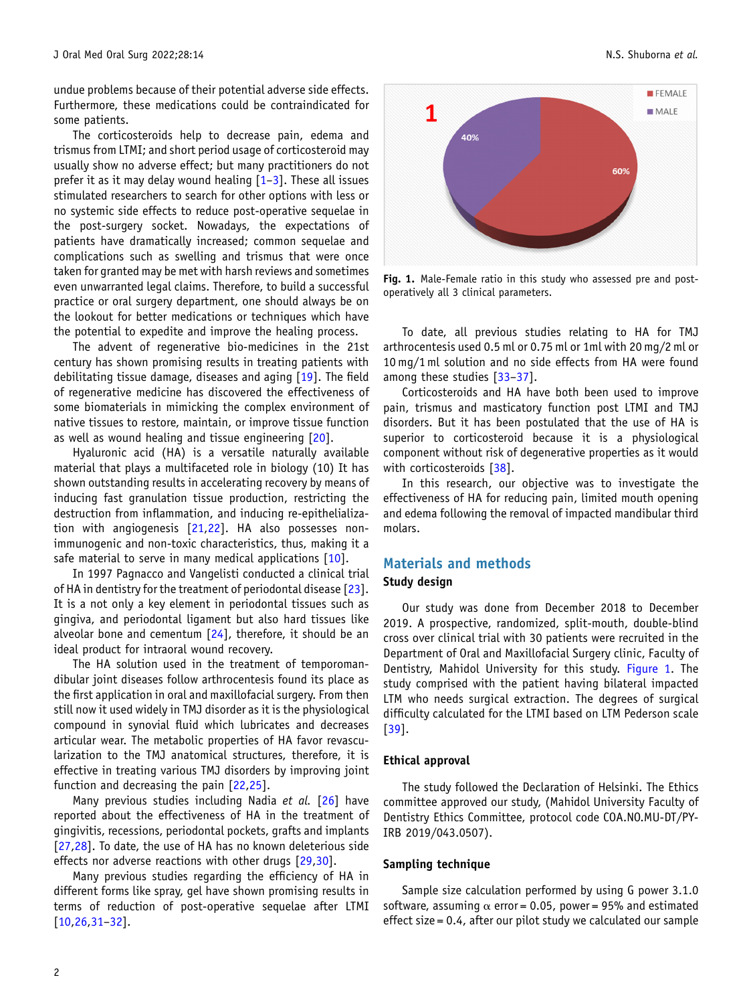undue problems because of their potential adverse side effects. Furthermore, these medications could be contraindicated for some patients.

The corticosteroids help to decrease pain, edema and trismus from LTMI; and short period usage of corticosteroid may usually show no adverse effect; but many practitioners do not prefer it as it may delay wound healing  $[1-3]$  $[1-3]$  $[1-3]$  $[1-3]$ . These all issues stimulated researchers to search for other options with less or no systemic side effects to reduce post-operative sequelae in the post-surgery socket. Nowadays, the expectations of patients have dramatically increased; common sequelae and complications such as swelling and trismus that were once taken for granted may be met with harsh reviews and sometimes even unwarranted legal claims. Therefore, to build a successful practice or oral surgery department, one should always be on the lookout for better medications or techniques which have the potential to expedite and improve the healing process.

The advent of regenerative bio-medicines in the 21st century has shown promising results in treating patients with debilitating tissue damage, diseases and aging [[19\]](#page-8-0). The field of regenerative medicine has discovered the effectiveness of some biomaterials in mimicking the complex environment of native tissues to restore, maintain, or improve tissue function as well as wound healing and tissue engineering [[20\]](#page-8-0).

Hyaluronic acid (HA) is a versatile naturally available material that plays a multifaceted role in biology (10) It has shown outstanding results in accelerating recovery by means of inducing fast granulation tissue production, restricting the destruction from inflammation, and inducing re-epithelialization with angiogenesis [[21,22](#page-8-0)]. HA also possesses nonimmunogenic and non-toxic characteristics, thus, making it a safe material to serve in many medical applications [[10\]](#page-7-0).

In 1997 Pagnacco and Vangelisti conducted a clinical trial of HA in dentistry for the treatment of periodontal disease [\[23](#page-8-0)]. It is a not only a key element in periodontal tissues such as gingiva, and periodontal ligament but also hard tissues like alveolar bone and cementum [[24\]](#page-8-0), therefore, it should be an ideal product for intraoral wound recovery.

The HA solution used in the treatment of temporomandibular joint diseases follow arthrocentesis found its place as the first application in oral and maxillofacial surgery. From then still now it used widely in TMJ disorder as it is the physiological compound in synovial fluid which lubricates and decreases articular wear. The metabolic properties of HA favor revascularization to the TMJ anatomical structures, therefore, it is effective in treating various TMJ disorders by improving joint function and decreasing the pain [\[22,25](#page-8-0)].

Many previous studies including Nadia et al. [[26\]](#page-8-0) have reported about the effectiveness of HA in the treatment of gingivitis, recessions, periodontal pockets, grafts and implants [\[27,28](#page-8-0)]. To date, the use of HA has no known deleterious side effects nor adverse reactions with other drugs [\[29,30](#page-8-0)].

Many previous studies regarding the efficiency of HA in different forms like spray, gel have shown promising results in terms of reduction of post-operative sequelae after LTMI [\[10](#page-7-0)[,26](#page-8-0),[31](#page-8-0)–[32\]](#page-8-0).



Fig. 1. Male-Female ratio in this study who assessed pre and postoperatively all 3 clinical parameters.

To date, all previous studies relating to HA for TMJ arthrocentesis used 0.5 ml or 0.75 ml or 1ml with 20 mg/2 ml or 10 mg/1 ml solution and no side effects from HA were found among these studies [[33](#page-8-0)–[37\]](#page-8-0).

Corticosteroids and HA have both been used to improve pain, trismus and masticatory function post LTMI and TMJ disorders. But it has been postulated that the use of HA is superior to corticosteroid because it is a physiological component without risk of degenerative properties as it would with corticosteroids [[38\]](#page-8-0).

In this research, our objective was to investigate the effectiveness of HA for reducing pain, limited mouth opening and edema following the removal of impacted mandibular third molars.

# Materials and methods Study design

Our study was done from December 2018 to December 2019. A prospective, randomized, split-mouth, double-blind cross over clinical trial with 30 patients were recruited in the Department of Oral and Maxillofacial Surgery clinic, Faculty of Dentistry, Mahidol University for this study. Figure 1. The study comprised with the patient having bilateral impacted LTM who needs surgical extraction. The degrees of surgical difficulty calculated for the LTMI based on LTM Pederson scale [[39](#page-8-0)].

## Ethical approval

The study followed the Declaration of Helsinki. The Ethics committee approved our study, (Mahidol University Faculty of Dentistry Ethics Committee, protocol code COA.NO.MU-DT/PY-IRB 2019/043.0507).

## Sampling technique

Sample size calculation performed by using G power 3.1.0 software, assuming  $\alpha$  error = 0.05, power = 95% and estimated effect size = 0.4, after our pilot study we calculated our sample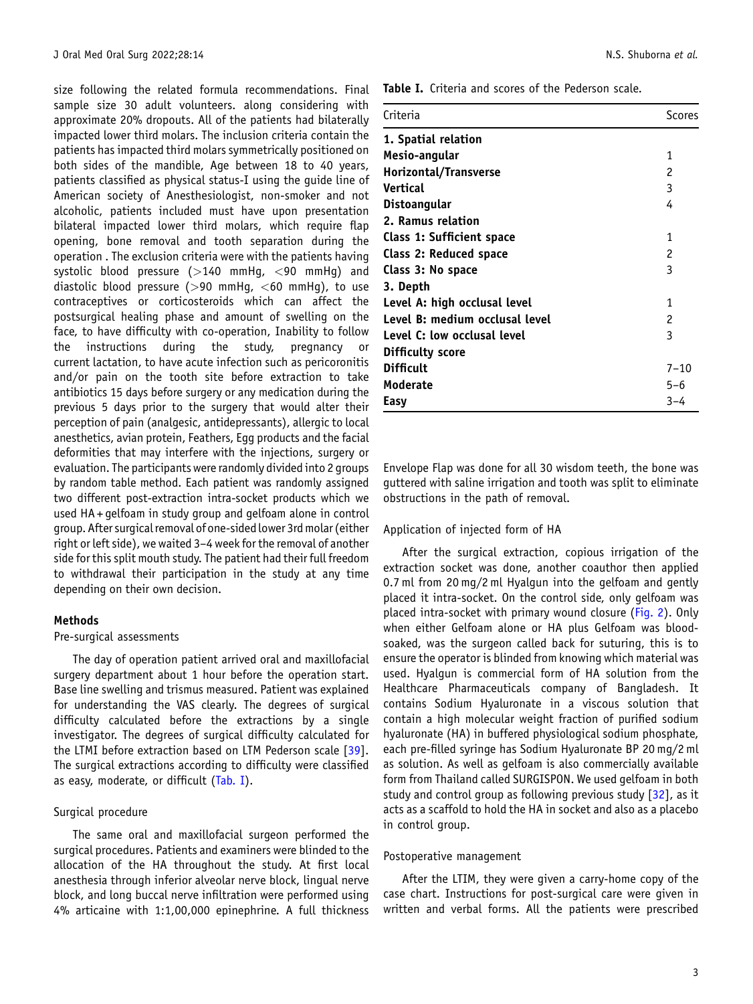size following the related formula recommendations. Final sample size 30 adult volunteers. along considering with approximate 20% dropouts. All of the patients had bilaterally impacted lower third molars. The inclusion criteria contain the patients has impacted third molars symmetrically positioned on both sides of the mandible, Age between 18 to 40 years, patients classified as physical status-I using the guide line of American society of Anesthesiologist, non-smoker and not alcoholic, patients included must have upon presentation bilateral impacted lower third molars, which require flap opening, bone removal and tooth separation during the operation . The exclusion criteria were with the patients having systolic blood pressure  $(>140 \text{ mmHg}, < 90 \text{ mmHg})$  and diastolic blood pressure ( $>90$  mmHq,  $<$ 60 mmHq), to use contraceptives or corticosteroids which can affect the postsurgical healing phase and amount of swelling on the face, to have difficulty with co-operation, Inability to follow the instructions during the study, pregnancy or current lactation, to have acute infection such as pericoronitis and/or pain on the tooth site before extraction to take antibiotics 15 days before surgery or any medication during the previous 5 days prior to the surgery that would alter their perception of pain (analgesic, antidepressants), allergic to local anesthetics, avian protein, Feathers, Egg products and the facial deformities that may interfere with the injections, surgery or evaluation. The participants were randomly divided into 2 groups by random table method. Each patient was randomly assigned two different post-extraction intra-socket products which we used HA + gelfoam in study group and gelfoam alone in control group. After surgical removal of one-sided lower 3rd molar (either right or left side), we waited 3–4 week for the removal of another side for this split mouth study. The patient had their full freedom to withdrawal their participation in the study at any time depending on their own decision.

## Methods

#### Pre-surgical assessments

The day of operation patient arrived oral and maxillofacial surgery department about 1 hour before the operation start. Base line swelling and trismus measured. Patient was explained for understanding the VAS clearly. The degrees of surgical difficulty calculated before the extractions by a single investigator. The degrees of surgical difficulty calculated for the LTMI before extraction based on LTM Pederson scale [\[39](#page-8-0)]. The surgical extractions according to difficulty were classified as easy, moderate, or difficult (Tab. I).

## Surgical procedure

The same oral and maxillofacial surgeon performed the surgical procedures. Patients and examiners were blinded to the allocation of the HA throughout the study. At first local anesthesia through inferior alveolar nerve block, lingual nerve block, and long buccal nerve infiltration were performed using 4% articaine with 1:1,00,000 epinephrine. A full thickness

Table I. Criteria and scores of the Pederson scale.

| Criteria                       | Scores         |
|--------------------------------|----------------|
| 1. Spatial relation            |                |
| Mesio-angular                  | 1              |
| Horizontal/Transverse          | $\overline{c}$ |
| Vertical                       | 3              |
| Distoangular                   | 4              |
| 2. Ramus relation              |                |
| Class 1: Sufficient space      | 1              |
| Class 2: Reduced space         | $\mathfrak{p}$ |
| Class 3: No space              | 3              |
| 3. Depth                       |                |
| Level A: high occlusal level   | 1              |
| Level B: medium occlusal level | 2              |
| Level C: low occlusal level    | 3              |
| Difficulty score               |                |
| <b>Difficult</b>               | $7 - 10$       |
| Moderate                       | 5-6            |
| <b>Easy</b>                    | $3 - 4$        |

Envelope Flap was done for all 30 wisdom teeth, the bone was guttered with saline irrigation and tooth was split to eliminate obstructions in the path of removal.

#### Application of injected form of HA

After the surgical extraction, copious irrigation of the extraction socket was done, another coauthor then applied 0.7 ml from 20 mg/2 ml Hyalgun into the gelfoam and gently placed it intra-socket. On the control side, only gelfoam was placed intra-socket with primary wound closure [\(Fig. 2](#page-3-0)). Only when either Gelfoam alone or HA plus Gelfoam was bloodsoaked, was the surgeon called back for suturing, this is to ensure the operator is blinded from knowing which material was used. Hyalgun is commercial form of HA solution from the Healthcare Pharmaceuticals company of Bangladesh. It contains Sodium Hyaluronate in a viscous solution that contain a high molecular weight fraction of purified sodium hyaluronate (HA) in buffered physiological sodium phosphate, each pre-filled syringe has Sodium Hyaluronate BP 20 mg/2 ml as solution. As well as gelfoam is also commercially available form from Thailand called SURGISPON. We used gelfoam in both study and control group as following previous study  $[32]$  $[32]$ , as it acts as a scaffold to hold the HA in socket and also as a placebo in control group.

## Postoperative management

After the LTIM, they were given a carry-home copy of the case chart. Instructions for post-surgical care were given in written and verbal forms. All the patients were prescribed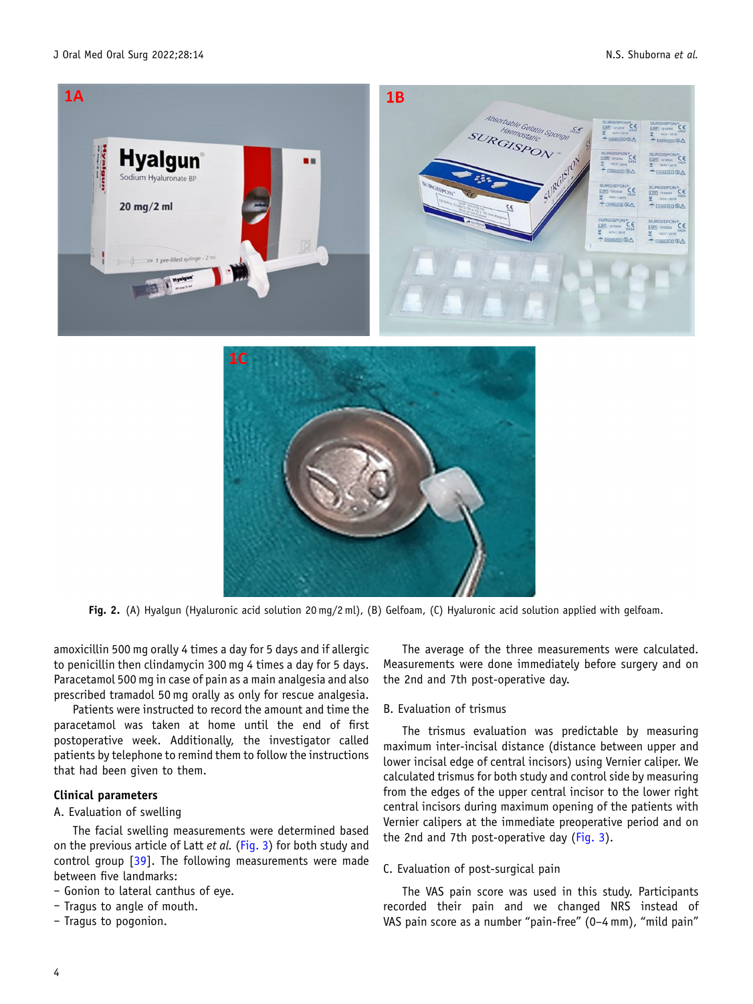<span id="page-3-0"></span>



Fig. 2. (A) Hyalgun (Hyaluronic acid solution 20 mg/2 ml), (B) Gelfoam, (C) Hyaluronic acid solution applied with gelfoam.

amoxicillin 500 mg orally 4 times a day for 5 days and if allergic to penicillin then clindamycin 300 mg 4 times a day for 5 days. Paracetamol 500 mg in case of pain as a main analgesia and also prescribed tramadol 50 mg orally as only for rescue analgesia.

Patients were instructed to record the amount and time the paracetamol was taken at home until the end of first postoperative week. Additionally, the investigator called patients by telephone to remind them to follow the instructions that had been given to them.

## Clinical parameters

A. Evaluation of swelling

The facial swelling measurements were determined based on the previous article of Latt et al. [\(Fig. 3](#page-4-0)) for both study and control group [\[39](#page-8-0)]. The following measurements were made between five landmarks:

- Gonion to lateral canthus of eye.
- Tragus to angle of mouth.
- Tragus to pogonion.

The average of the three measurements were calculated. Measurements were done immediately before surgery and on the 2nd and 7th post-operative day.

#### B. Evaluation of trismus

The trismus evaluation was predictable by measuring maximum inter-incisal distance (distance between upper and lower incisal edge of central incisors) using Vernier caliper. We calculated trismus for both study and control side by measuring from the edges of the upper central incisor to the lower right central incisors during maximum opening of the patients with Vernier calipers at the immediate preoperative period and on the 2nd and 7th post-operative day  $(Fig. 3)$  $(Fig. 3)$ .

#### C. Evaluation of post-surgical pain

The VAS pain score was used in this study. Participants recorded their pain and we changed NRS instead of VAS pain score as a number "pain-free" (0–4 mm), "mild pain"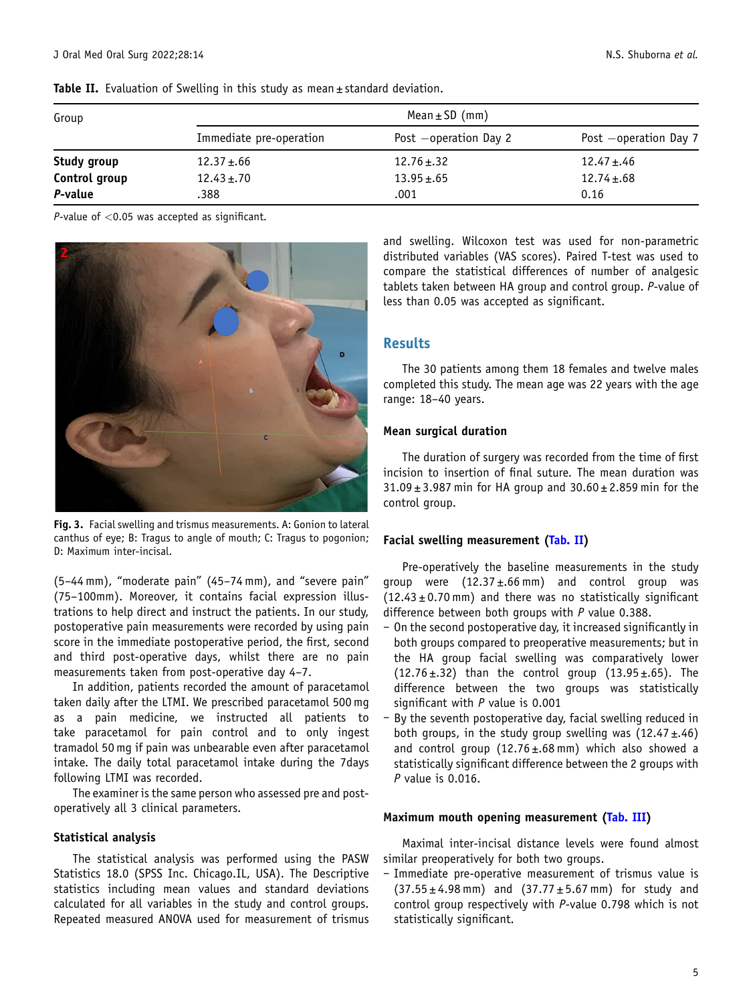| Group         | Mean $\pm$ SD (mm)      |                       |                        |  |  |  |
|---------------|-------------------------|-----------------------|------------------------|--|--|--|
|               | Immediate pre-operation | Post -operation Day 2 | Post - operation Day 7 |  |  |  |
| Study group   | $12.37 \pm .66$         | $12.76 \pm 0.32$      | $12.47 \pm .46$        |  |  |  |
| Control group | $12.43 \pm 0.70$        | $13.95 \pm .65$       | $12.74 \pm 0.68$       |  |  |  |
| P-value       | .388                    | .001                  | 0.16                   |  |  |  |

<span id="page-4-0"></span>Table II. Evaluation of Swelling in this study as mean ± standard deviation.

P-value of  $<$  0.05 was accepted as significant.



Fig. 3. Facial swelling and trismus measurements. A: Gonion to lateral canthus of eye; B: Tragus to angle of mouth; C: Tragus to pogonion; D: Maximum inter-incisal.

(5–44 mm), "moderate pain" (45–74 mm), and "severe pain" (75–100mm). Moreover, it contains facial expression illustrations to help direct and instruct the patients. In our study, postoperative pain measurements were recorded by using pain score in the immediate postoperative period, the first, second and third post-operative days, whilst there are no pain measurements taken from post-operative day 4–7.

In addition, patients recorded the amount of paracetamol taken daily after the LTMI. We prescribed paracetamol 500 mg as a pain medicine, we instructed all patients to take paracetamol for pain control and to only ingest tramadol 50 mg if pain was unbearable even after paracetamol intake. The daily total paracetamol intake during the 7days following LTMI was recorded.

The examiner is the same person who assessed pre and postoperatively all 3 clinical parameters.

## Statistical analysis

The statistical analysis was performed using the PASW Statistics 18.0 (SPSS Inc. Chicago.IL, USA). The Descriptive statistics including mean values and standard deviations calculated for all variables in the study and control groups. Repeated measured ANOVA used for measurement of trismus and swelling. Wilcoxon test was used for non-parametric distributed variables (VAS scores). Paired T-test was used to compare the statistical differences of number of analgesic tablets taken between HA group and control group. P-value of less than 0.05 was accepted as significant.

# **Results**

The 30 patients among them 18 females and twelve males completed this study. The mean age was 22 years with the age range: 18–40 years.

#### Mean surgical duration

The duration of surgery was recorded from the time of first incision to insertion of final suture. The mean duration was  $31.09 \pm 3.987$  min for HA group and  $30.60 \pm 2.859$  min for the control group.

## Facial swelling measurement (Tab. II)

Pre-operatively the baseline measurements in the study group were (12.37 ±.66 mm) and control group was  $(12.43 \pm 0.70 \text{ mm})$  and there was no statistically significant difference between both groups with  $P$  value 0.388.

- On the second postoperative day, it increased significantly in both groups compared to preoperative measurements; but in the HA group facial swelling was comparatively lower  $(12.76 \pm .32)$  than the control group  $(13.95 \pm .65)$ . The difference between the two groups was statistically significant with P value is 0.001
- By the seventh postoperative day, facial swelling reduced in both groups, in the study group swelling was  $(12.47 \pm .46)$ and control group  $(12.76 \pm .68 \text{ mm})$  which also showed a statistically significant difference between the 2 groups with  $P$  value is 0.016.

## Maximum mouth opening measurement [\(Tab. III](#page-5-0))

Maximal inter-incisal distance levels were found almost similar preoperatively for both two groups.

– Immediate pre-operative measurement of trismus value is  $(37.55 \pm 4.98 \text{ mm})$  and  $(37.77 \pm 5.67 \text{ mm})$  for study and control group respectively with P-value 0.798 which is not statistically significant.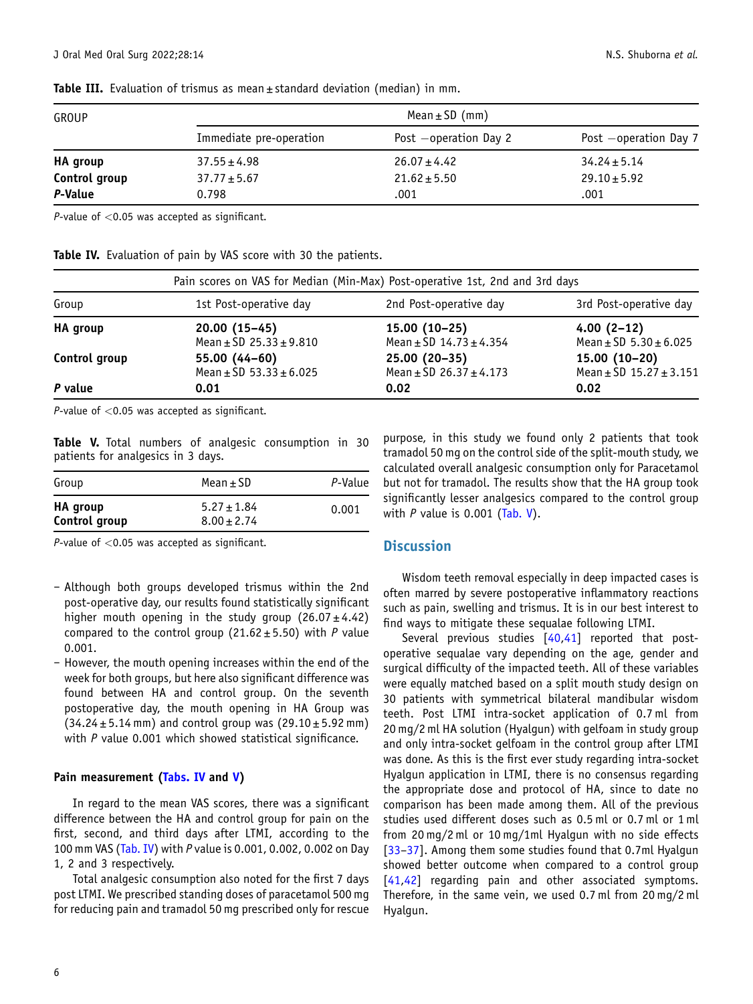| GROUP         | Mean $\pm$ SD (mm)      |                             |                             |  |  |  |
|---------------|-------------------------|-----------------------------|-----------------------------|--|--|--|
|               | Immediate pre-operation | Post $\sim$ operation Day 2 | Post $\sim$ operation Day 7 |  |  |  |
| HA group      | $37.55 \pm 4.98$        | $26.07 \pm 4.42$            | $34.24 \pm 5.14$            |  |  |  |
| Control group | $37.77 \pm 5.67$        | $21.62 \pm 5.50$            | $29.10 \pm 5.92$            |  |  |  |
| P-Value       | 0.798                   | .001                        | .001                        |  |  |  |

<span id="page-5-0"></span>Table III. Evaluation of trismus as mean ± standard deviation (median) in mm.

P-value of  $<$ 0.05 was accepted as significant.

|  | Table IV. Evaluation of pain by VAS score with 30 the patients. |  |  |  |  |  |  |  |  |  |
|--|-----------------------------------------------------------------|--|--|--|--|--|--|--|--|--|
|--|-----------------------------------------------------------------|--|--|--|--|--|--|--|--|--|

|               |                                                   | Pain scores on VAS for Median (Min-Max) Post-operative 1st, 2nd and 3rd days |                                                   |  |  |  |
|---------------|---------------------------------------------------|------------------------------------------------------------------------------|---------------------------------------------------|--|--|--|
| Group         | 1st Post-operative day                            | 2nd Post-operative day                                                       | 3rd Post-operative day                            |  |  |  |
| HA group      | $20.00(15-45)$<br>Mean $\pm$ SD 25.33 $\pm$ 9.810 | $15.00(10-25)$<br>Mean $\pm$ SD 14.73 $\pm$ 4.354                            | $4.00(2-12)$<br>Mean $\pm$ SD 5.30 $\pm$ 6.025    |  |  |  |
| Control group | $55.00(44-60)$<br>Mean $\pm$ SD 53.33 $\pm$ 6.025 | $25.00(20-35)$<br>Mean $\pm$ SD 26.37 $\pm$ 4.173                            | $15.00(10-20)$<br>Mean $\pm$ SD 15.27 $\pm$ 3.151 |  |  |  |
| P value       | 0.01                                              | 0.02                                                                         | 0.02                                              |  |  |  |

*P*-value of  $<$ 0.05 was accepted as significant.

Table V. Total numbers of analgesic consumption in 30 patients for analgesics in 3 days.

| Group                     | Mean $\pm$ SD                      | P-Value |
|---------------------------|------------------------------------|---------|
| HA group<br>Control group | $5.27 \pm 1.84$<br>$8.00 \pm 2.74$ | 0.001   |

P-value of  $<$  0.05 was accepted as significant.

- Although both groups developed trismus within the 2nd post-operative day, our results found statistically significant higher mouth opening in the study group  $(26.07 \pm 4.42)$ compared to the control group (21.62  $\pm$  5.50) with P value 0.001.
- However, the mouth opening increases within the end of the week for both groups, but here also significant difference was found between HA and control group. On the seventh postoperative day, the mouth opening in HA Group was  $(34.24 \pm 5.14 \text{ mm})$  and control group was  $(29.10 \pm 5.92 \text{ mm})$ with P value 0.001 which showed statistical significance.

#### Pain measurement (Tabs. IV and V)

In regard to the mean VAS scores, there was a significant difference between the HA and control group for pain on the first, second, and third days after LTMI, according to the 100 mm VAS (Tab. IV) with P value is 0.001, 0.002, 0.002 on Day 1, 2 and 3 respectively.

Total analgesic consumption also noted for the first 7 days post LTMI. We prescribed standing doses of paracetamol 500 mg for reducing pain and tramadol 50 mg prescribed only for rescue purpose, in this study we found only 2 patients that took tramadol 50 mg on the control side of the split-mouth study, we calculated overall analgesic consumption only for Paracetamol but not for tramadol. The results show that the HA group took significantly lesser analgesics compared to the control group with  $P$  value is 0.001 (Tab. V).

## **Discussion**

Wisdom teeth removal especially in deep impacted cases is often marred by severe postoperative inflammatory reactions such as pain, swelling and trismus. It is in our best interest to find ways to mitigate these sequalae following LTMI.

Several previous studies [[40,41](#page-8-0)] reported that postoperative sequalae vary depending on the age, gender and surgical difficulty of the impacted teeth. All of these variables were equally matched based on a split mouth study design on 30 patients with symmetrical bilateral mandibular wisdom teeth. Post LTMI intra-socket application of 0.7 ml from 20 mg/2 ml HA solution (Hyalgun) with gelfoam in study group and only intra-socket gelfoam in the control group after LTMI was done. As this is the first ever study regarding intra-socket Hyalgun application in LTMI, there is no consensus regarding the appropriate dose and protocol of HA, since to date no comparison has been made among them. All of the previous studies used different doses such as 0.5 ml or 0.7 ml or 1 ml from 20 mg/2 ml or 10 mg/1ml Hyalgun with no side effects [[33](#page-8-0)–[37\]](#page-8-0). Among them some studies found that 0.7ml Hyalgun showed better outcome when compared to a control group [[41,42\]](#page-8-0) regarding pain and other associated symptoms. Therefore, in the same vein, we used 0.7 ml from 20 mg/2 ml Hyalgun.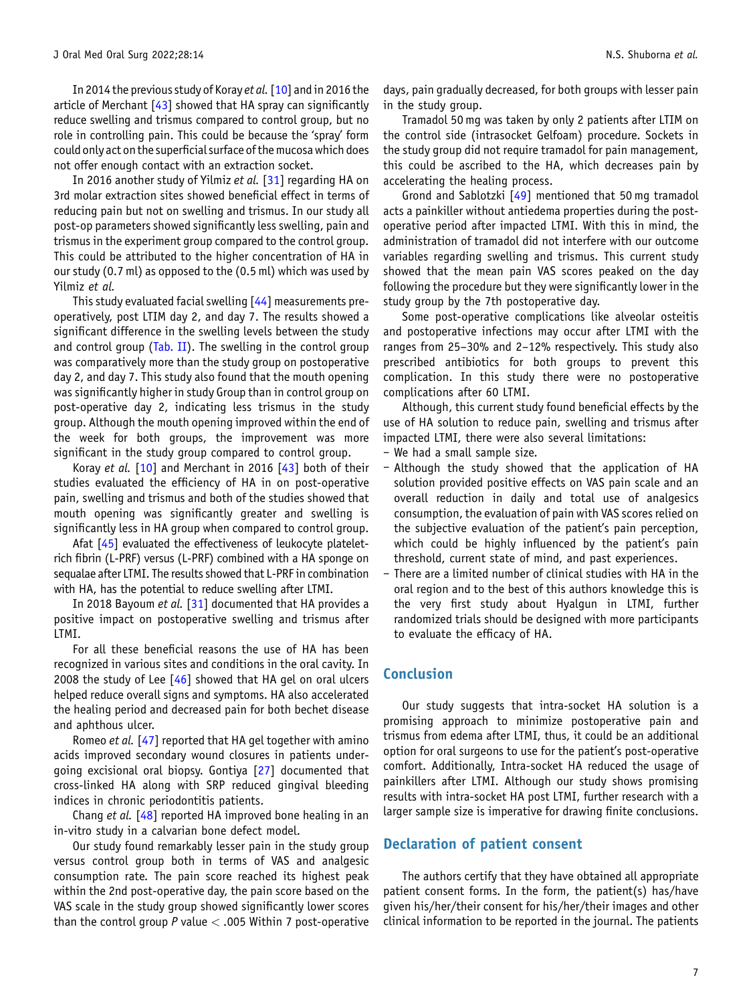In 2014 the previous study of Koray *et al.* [[10](#page-7-0)] and in 2016 the article of Merchant  $[43]$  showed that HA spray can significantly reduce swelling and trismus compared to control group, but no role in controlling pain. This could be because the 'spray' form could only act on the superficial surface of the mucosa which does not offer enough contact with an extraction socket.

In 2016 another study of Yilmiz et al. [\[31](#page-8-0)] regarding HA on 3rd molar extraction sites showed beneficial effect in terms of reducing pain but not on swelling and trismus. In our study all post-op parameters showed significantly less swelling, pain and trismus in the experiment group compared to the control group. This could be attributed to the higher concentration of HA in our study (0.7 ml) as opposed to the (0.5 ml) which was used by Yilmiz et al.

This study evaluated facial swelling [\[44](#page-8-0)] measurements preoperatively, post LTIM day 2, and day 7. The results showed a significant difference in the swelling levels between the study and control group ( $\overline{Tab}$ . II). The swelling in the control group was comparatively more than the study group on postoperative day 2, and day 7. This study also found that the mouth opening was significantly higher in study Group than in control group on post-operative day 2, indicating less trismus in the study group. Although the mouth opening improved within the end of the week for both groups, the improvement was more significant in the study group compared to control group.

Koray et al.  $[10]$  $[10]$  and Merchant in 2016  $[43]$  $[43]$  both of their studies evaluated the efficiency of HA in on post-operative pain, swelling and trismus and both of the studies showed that mouth opening was significantly greater and swelling is significantly less in HA group when compared to control group.

Afat [\[45](#page-8-0)] evaluated the effectiveness of leukocyte plateletrich fibrin (L-PRF) versus (L-PRF) combined with a HA sponge on sequalae after LTMI. The results showed that L-PRF in combination with HA, has the potential to reduce swelling after LTMI.

In 2018 Bayoum et al. [\[31](#page-8-0)] documented that HA provides a positive impact on postoperative swelling and trismus after LTMI.

For all these beneficial reasons the use of HA has been recognized in various sites and conditions in the oral cavity. In 2008 the study of Lee  $[46]$  $[46]$  showed that HA gel on oral ulcers helped reduce overall signs and symptoms. HA also accelerated the healing period and decreased pain for both bechet disease and aphthous ulcer.

Romeo et al. [\[47](#page-8-0)] reported that HA gel together with amino acids improved secondary wound closures in patients undergoing excisional oral biopsy. Gontiya [\[27](#page-8-0)] documented that cross-linked HA along with SRP reduced gingival bleeding indices in chronic periodontitis patients.

Chang *et al.* [\[48](#page-8-0)] reported HA improved bone healing in an in-vitro study in a calvarian bone defect model.

Our study found remarkably lesser pain in the study group versus control group both in terms of VAS and analgesic consumption rate. The pain score reached its highest peak within the 2nd post-operative day, the pain score based on the VAS scale in the study group showed significantly lower scores than the control group  $P$  value  $<$  .005 Within 7 post-operative

days, pain gradually decreased, for both groups with lesser pain in the study group.

Tramadol 50 mg was taken by only 2 patients after LTIM on the control side (intrasocket Gelfoam) procedure. Sockets in the study group did not require tramadol for pain management, this could be ascribed to the HA, which decreases pain by accelerating the healing process.

Grond and Sablotzki [[49\]](#page-8-0) mentioned that 50 mg tramadol acts a painkiller without antiedema properties during the postoperative period after impacted LTMI. With this in mind, the administration of tramadol did not interfere with our outcome variables regarding swelling and trismus. This current study showed that the mean pain VAS scores peaked on the day following the procedure but they were significantly lower in the study group by the 7th postoperative day.

Some post-operative complications like alveolar osteitis and postoperative infections may occur after LTMI with the ranges from 25–30% and 2–12% respectively. This study also prescribed antibiotics for both groups to prevent this complication. In this study there were no postoperative complications after 60 LTMI.

Although, this current study found beneficial effects by the use of HA solution to reduce pain, swelling and trismus after impacted LTMI, there were also several limitations:

- We had a small sample size.
- Although the study showed that the application of HA solution provided positive effects on VAS pain scale and an overall reduction in daily and total use of analgesics consumption, the evaluation of pain with VAS scores relied on the subjective evaluation of the patient's pain perception, which could be highly influenced by the patient's pain threshold, current state of mind, and past experiences.
- There are a limited number of clinical studies with HA in the oral region and to the best of this authors knowledge this is the very first study about Hyalgun in LTMI, further randomized trials should be designed with more participants to evaluate the efficacy of HA.

## Conclusion

Our study suggests that intra-socket HA solution is a promising approach to minimize postoperative pain and trismus from edema after LTMI, thus, it could be an additional option for oral surgeons to use for the patient's post-operative comfort. Additionally, Intra-socket HA reduced the usage of painkillers after LTMI. Although our study shows promising results with intra-socket HA post LTMI, further research with a larger sample size is imperative for drawing finite conclusions.

## Declaration of patient consent

The authors certify that they have obtained all appropriate patient consent forms. In the form, the patient(s) has/have given his/her/their consent for his/her/their images and other clinical information to be reported in the journal. The patients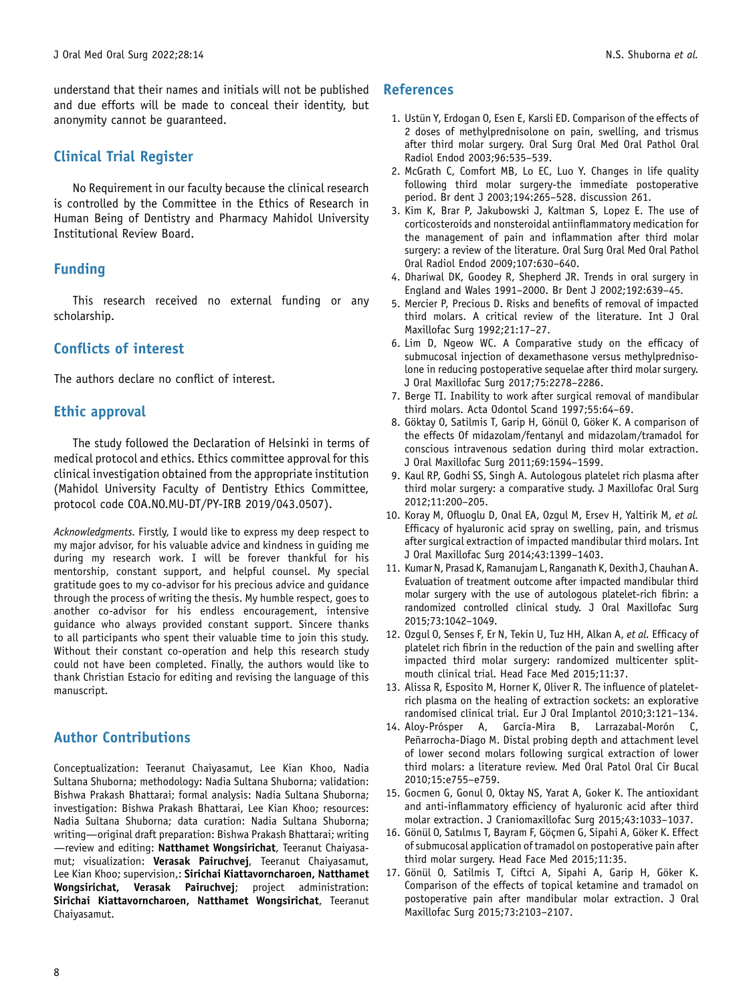<span id="page-7-0"></span>understand that their names and initials will not be published and due efforts will be made to conceal their identity, but anonymity cannot be guaranteed.

# Clinical Trial Register

No Requirement in our faculty because the clinical research is controlled by the Committee in the Ethics of Research in Human Being of Dentistry and Pharmacy Mahidol University Institutional Review Board.

# Funding

This research received no external funding or any scholarship.

# Conflicts of interest

The authors declare no conflict of interest.

# Ethic approval

The study followed the Declaration of Helsinki in terms of medical protocol and ethics. Ethics committee approval for this clinical investigation obtained from the appropriate institution (Mahidol University Faculty of Dentistry Ethics Committee, protocol code COA.NO.MU-DT/PY-IRB 2019/043.0507).

Acknowledgments. Firstly, I would like to express my deep respect to my major advisor, for his valuable advice and kindness in guiding me during my research work. I will be forever thankful for his mentorship, constant support, and helpful counsel. My special gratitude goes to my co-advisor for his precious advice and guidance through the process of writing the thesis. My humble respect, goes to another co-advisor for his endless encouragement, intensive guidance who always provided constant support. Sincere thanks to all participants who spent their valuable time to join this study. Without their constant co-operation and help this research study could not have been completed. Finally, the authors would like to thank Christian Estacio for editing and revising the language of this manuscript.

# Author Contributions

Conceptualization: Teeranut Chaiyasamut, Lee Kian Khoo, Nadia Sultana Shuborna; methodology: Nadia Sultana Shuborna; validation: Bishwa Prakash Bhattarai; formal analysis: Nadia Sultana Shuborna; investigation: Bishwa Prakash Bhattarai, Lee Kian Khoo; resources: Nadia Sultana Shuborna; data curation: Nadia Sultana Shuborna; writing—original draft preparation: Bishwa Prakash Bhattarai; writing —review and editing: Natthamet Wongsirichat, Teeranut Chaiyasamut; visualization: Verasak Pairuchvej, Teeranut Chaiyasamut, Lee Kian Khoo; supervision,: Sirichai Kiattavorncharoen, Natthamet Wongsirichat, Verasak Pairuchvej; project administration: Sirichai Kiattavorncharoen, Natthamet Wongsirichat, Teeranut Chaiyasamut.

## References

- 1. Ustün Y, Erdogan O, Esen E, Karsli ED. Comparison of the effects of 2 doses of methylprednisolone on pain, swelling, and trismus after third molar surgery. Oral Surg Oral Med Oral Pathol Oral Radiol Endod 2003;96:535–539.
- 2. McGrath C, Comfort MB, Lo EC, Luo Y. Changes in life quality following third molar surgery-the immediate postoperative period. Br dent J 2003;194:265–528. discussion 261.
- 3. Kim K, Brar P, Jakubowski J, Kaltman S, Lopez E. The use of corticosteroids and nonsteroidal antiinflammatory medication for the management of pain and inflammation after third molar surgery: a review of the literature. Oral Surg Oral Med Oral Pathol Oral Radiol Endod 2009;107:630–640.
- 4. Dhariwal DK, Goodey R, Shepherd JR. Trends in oral surgery in England and Wales 1991–2000. Br Dent J 2002;192:639–45.
- 5. Mercier P, Precious D. Risks and benefits of removal of impacted third molars. A critical review of the literature. Int J Oral Maxillofac Surg 1992;21:17–27.
- 6. Lim D, Ngeow WC. A Comparative study on the efficacy of submucosal injection of dexamethasone versus methylprednisolone in reducing postoperative sequelae after third molar surgery. J Oral Maxillofac Surg 2017;75:2278–2286.
- 7. Berge TI. Inability to work after surgical removal of mandibular third molars. Acta Odontol Scand 1997;55:64–69.
- 8. Göktay O, Satilmis T, Garip H, Gönül O, Göker K. A comparison of the effects Of midazolam/fentanyl and midazolam/tramadol for conscious intravenous sedation during third molar extraction. J Oral Maxillofac Surg 2011;69:1594–1599.
- 9. Kaul RP, Godhi SS, Singh A. Autologous platelet rich plasma after third molar surgery: a comparative study. J Maxillofac Oral Surg 2012;11:200–205.
- 10. Koray M, Ofluoglu D, Onal EA, Ozgul M, Ersev H, Yaltirik M, et al. Efficacy of hyaluronic acid spray on swelling, pain, and trismus after surgical extraction of impacted mandibular third molars. Int J Oral Maxillofac Surg 2014;43:1399–1403.
- 11. Kumar N, Prasad K, Ramanujam L, Ranganath K, Dexith J, Chauhan A. Evaluation of treatment outcome after impacted mandibular third molar surgery with the use of autologous platelet-rich fibrin: a randomized controlled clinical study. J Oral Maxillofac Surg 2015;73:1042–1049.
- 12. Ozgul O, Senses F, Er N, Tekin U, Tuz HH, Alkan A, et al. Efficacy of platelet rich fibrin in the reduction of the pain and swelling after impacted third molar surgery: randomized multicenter splitmouth clinical trial. Head Face Med 2015;11:37.
- 13. Alissa R, Esposito M, Horner K, Oliver R. The influence of plateletrich plasma on the healing of extraction sockets: an explorative randomised clinical trial. Eur J Oral Implantol 2010;3:121–134.
- 14. Aloy-Prósper A, García-Mira B, Larrazabal-Morón C, Peñarrocha-Diago M. Distal probing depth and attachment level of lower second molars following surgical extraction of lower third molars: a literature review. Med Oral Patol Oral Cir Bucal 2010;15:e755–e759.
- 15. Gocmen G, Gonul O, Oktay NS, Yarat A, Goker K. The antioxidant and anti-inflammatory efficiency of hyaluronic acid after third molar extraction. J Craniomaxillofac Surg 2015;43:1033–1037.
- 16. Gönül O, Satılmıs T, Bayram F, Göçmen G, Sipahi A, Göker K. Effect of submucosal application of tramadol on postoperative pain after third molar surgery. Head Face Med 2015;11:35.
- 17. Gönül O, Satilmis T, Ciftci A, Sipahi A, Garip H, Göker K. Comparison of the effects of topical ketamine and tramadol on postoperative pain after mandibular molar extraction. J Oral Maxillofac Surg 2015;73:2103–2107.